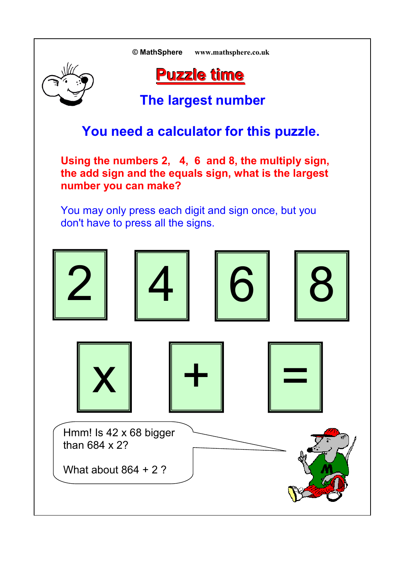